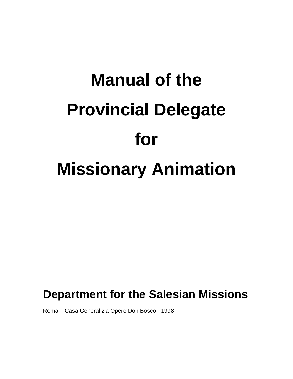# **Manual of the Provincial Delegate for Missionary Animation**

# **Department for the Salesian Missions**

Roma – Casa Generalizia Opere Don Bosco - 1998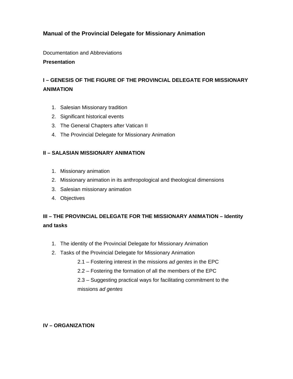## **Manual of the Provincial Delegate for Missionary Animation**

Documentation and Abbreviations

#### **Presentation**

# **I – GENESIS OF THE FIGURE OF THE PROVINCIAL DELEGATE FOR MISSIONARY ANIMATION**

- 1. Salesian Missionary tradition
- 2. Significant historical events
- 3. The General Chapters after Vatican II
- 4. The Provincial Delegate for Missionary Animation

#### **II – SALASIAN MISSIONARY ANIMATION**

- 1. Missionary animation
- 2. Missionary animation in its anthropological and theological dimensions
- 3. Salesian missionary animation
- 4. Objectives

# **III – THE PROVINCIAL DELEGATE FOR THE MISSIONARY ANIMATION – Identity and tasks**

- 1. The identity of the Provincial Delegate for Missionary Animation
- 2. Tasks of the Provincial Delegate for Missionary Animation
	- 2.1 Fostering interest in the missions *ad gentes* in the EPC
	- 2.2 Fostering the formation of all the members of the EPC
	- 2.3 Suggesting practical ways for facilitating commitment to the missions *ad gentes*

#### **IV – ORGANIZATION**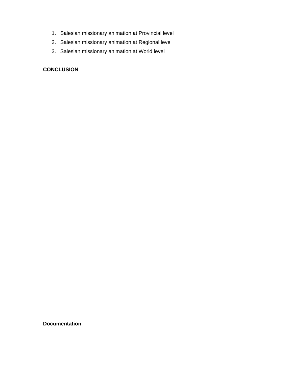- 1. Salesian missionary animation at Provincial level
- 2. Salesian missionary animation at Regional level
- 3. Salesian missionary animation at World level

## **CONCLUSION**

**Documentation**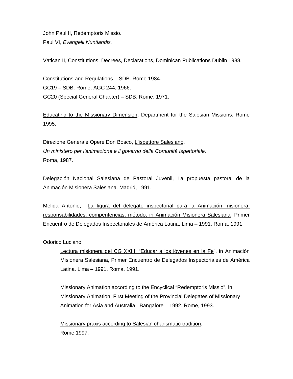John Paul II, Redemptoris Missio.

Paul VI, *Evangelii Nuntiandis.*

Vatican II, Constitutions, Decrees, Declarations, Dominican Publications Dublin 1988.

Constitutions and Regulations – SDB. Rome 1984. GC19 – SDB. Rome, AGC 244, 1966. GC20 (Special General Chapter) – SDB, Rome, 1971.

Educating to the Missionary Dimension, Department for the Salesian Missions. Rome 1995.

Direzione Generale Opere Don Bosco, L'ispettore Salesiano. *Un ministero per l'animazione e il governo della Comunità Ispettoriale.*  Roma, 1987.

Delegación Nacional Salesiana de Pastoral Juvenil, La propuesta pastoral de la Animación Misionera Salesiana. Madrid, 1991.

Melida Antonio, La figura del delegato inspectorial para la Animación misionera: responsabilidades, compentencias, método, in Animación Misionera Salesiana*,* Primer Encuentro de Delegados Inspectoriales de América Latina. Lima – 1991. Roma, 1991.

Odorico Luciano,

Lectura misionera del CG XXIII: "Educar a los jóvenes en la Fe", in Animación Misionera Salesiana, Primer Encuentro de Delegados Inspectoriales de América Latina. Lima – 1991. Roma, 1991.

Missionary Animation according to the Encyclical "Redemptoris Missio", in Missionary Animation, First Meeting of the Provincial Delegates of Missionary Animation for Asia and Australia. Bangalore – 1992. Rome, 1993.

Missionary praxis according to Salesian charismatic tradition. Rome 1997.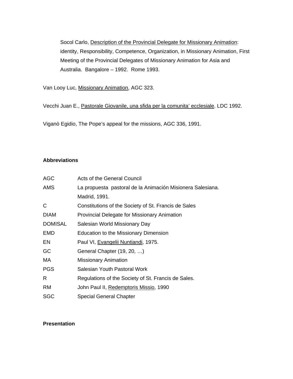Socol Carlo, Description of the Provincial Delegate for Missionary Animation: identity, Responsibility, Competence, Organization, in Missionary Animation, First Meeting of the Provincial Delegates of Missionary Animation for Asia and Australia. Bangalore – 1992. Rome 1993.

Van Looy Luc, Missionary Animation, AGC 323.

Vecchi Juan E., Pastorale Giovanile, una sfida per la comunita' ecclesiale. LDC 1992.

Viganò Egidio, The Pope's appeal for the missions, AGC 336, 1991.

#### **Abbreviations**

| <b>AGC</b>     | <b>Acts of the General Council</b>                         |
|----------------|------------------------------------------------------------|
| AMS            | La propuesta pastoral de la Animación Misionera Salesiana. |
|                | Madrid, 1991.                                              |
| C              | Constitutions of the Society of St. Francis de Sales       |
| <b>DIAM</b>    | Provincial Delegate for Missionary Animation               |
| <b>DOMISAL</b> | Salesian World Missionary Day                              |
| EMD            | <b>Education to the Missionary Dimension</b>               |
| EN             | Paul VI, Evangelii Nuntiandi, 1975.                        |
| GC             | General Chapter (19, 20, )                                 |
| MA.            | <b>Missionary Animation</b>                                |
| <b>PGS</b>     | Salesian Youth Pastoral Work                               |
| R              | Regulations of the Society of St. Francis de Sales.        |
| <b>RM</b>      | John Paul II, Redemptoris Missio, 1990                     |
| SGC            | <b>Special General Chapter</b>                             |

#### **Presentation**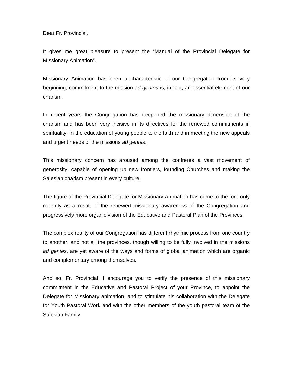Dear Fr. Provincial,

It gives me great pleasure to present the "Manual of the Provincial Delegate for Missionary Animation".

Missionary Animation has been a characteristic of our Congregation from its very beginning; commitment to the mission *ad gentes* is, in fact, an essential element of our charism.

In recent years the Congregation has deepened the missionary dimension of the charism and has been very incisive in its directives for the renewed commitments in spirituality, in the education of young people to the faith and in meeting the new appeals and urgent needs of the missions *ad gentes*.

This missionary concern has aroused among the confreres a vast movement of generosity, capable of opening up new frontiers, founding Churches and making the Salesian charism present in every culture.

The figure of the Provincial Delegate for Missionary Animation has come to the fore only recently as a result of the renewed missionary awareness of the Congregation and progressively more organic vision of the Educative and Pastoral Plan of the Provinces.

The complex reality of our Congregation has different rhythmic process from one country to another, and not all the provinces, though willing to be fully involved in the missions *ad gentes*, are yet aware of the ways and forms of global animation which are organic and complementary among themselves.

And so, Fr. Provincial, I encourage you to verify the presence of this missionary commitment in the Educative and Pastoral Project of your Province, to appoint the Delegate for Missionary animation, and to stimulate his collaboration with the Delegate for Youth Pastoral Work and with the other members of the youth pastoral team of the Salesian Family.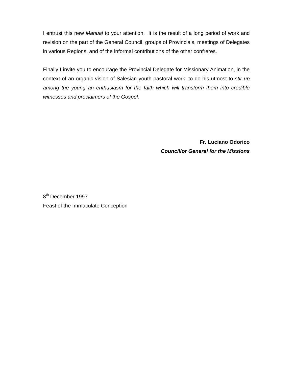I entrust this new *Manual* to your attention. It is the result of a long period of work and revision on the part of the General Council, groups of Provincials, meetings of Delegates in various Regions, and of the informal contributions of the other confreres.

Finally I invite you to encourage the Provincial Delegate for Missionary Animation, in the context of an organic vision of Salesian youth pastoral work, to do his utmost to *stir up among the young an enthusiasm for the faith which will transform them into credible witnesses and proclaimers of the Gospel.* 

> **Fr. Luciano Odorico**  *Councillor General for the Missions*

8<sup>th</sup> December 1997 Feast of the Immaculate Conception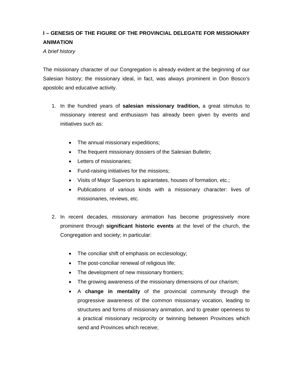# **I – GENESIS OF THE FIGURE OF THE PROVINCIAL DELEGATE FOR MISSIONARY ANIMATION**

*A brief history* 

The missionary character of our Congregation is already evident at the beginning of our Salesian history; the missionary ideal, in fact, was always prominent in Don Bosco's apostolic and educative activity.

- 1. In the hundred years of **salesian missionary tradition,** a great stimulus to missionary interest and enthusiasm has already been given by events and initiatives such as:
	- The annual missionary expeditions;
	- The frequent missionary dossiers of the Salesian Bulletin;
	- Letters of missionaries;
	- Fund-raising initiatives for the missions;
	- Visits of Major Superiors to apirantates, houses of formation, etc.;
	- Publications of various kinds with a missionary character: lives of missionaries, reviews, etc.
- 2. In recent decades, missionary animation has become progressively more prominent through **significant historic events** at the level of the church, the Congregation and society; in particular:
	- The conciliar shift of emphasis on ecclesiology;
	- The post-conciliar renewal of religious life;
	- The development of new missionary frontiers;
	- The growing awareness of the missionary dimensions of our charism;
	- A **change in mentality** of the provincial community through the progressive awareness of the common missionary vocation, leading to structures and forms of missionary animation, and to greater openness to a practical missionary reciprocity or twinning between Provinces which send and Provinces which receive;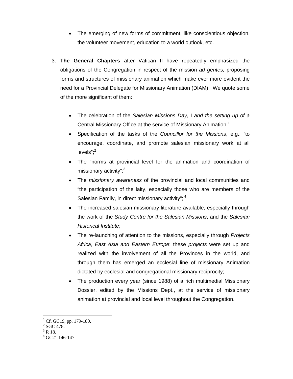- The emerging of new forms of commitment, like conscientious objection, the volunteer movement, education to a world outlook, etc.
- 3. **The General Chapters** after Vatican II have repeatedly emphasized the obligations of the Congregation in respect of the mission *ad gentes,* proposing forms and structures of missionary animation which make ever more evident the need for a Provincial Delegate for Missionary Animation (DIAM). We quote some of the more significant of them:
	- The celebration of the *Salesian Missions Day*, I *and the setting up of a*  Central Missionary Office at the service of Missionary Animation;<sup>1</sup>
	- Specification of the tasks of the *Councillor for the Missions*, e.g.: "to encourage, coordinate, and promote salesian missionary work at all levels"; $2$
	- The "norms at provincial level for the animation and coordination of missionary activity";<sup>3</sup>
	- The *missionary awareness* of the provincial and local communities and "the participation of the laity, especially those who are members of the Salesian Family, in direct missionary activity";  $4$
	- The increased salesian missionary literature available, especially through the work of the *Study Centre for the Salesian Missions*, and the *Salesian Historical Institute*;
	- The re-launching of attention to the missions, especially through *Projects Africa, East Asia and Eastern Europe*: these *projects* were set up and realized with the involvement of all the Provinces in the world, and through them has emerged an ecclesial line of missionary Animation dictated by ecclesial and congregational missionary reciprocity;
	- The production every year (since 1988) of a rich multimedial Missionary Dossier, edited by the Missions Dept., at the service of missionary animation at provincial and local level throughout the Congregation.

<sup>&</sup>lt;sup>1</sup> Cf. GC19, pp. 179-180.

 $2$  SGC 478.

 $3$  R 18.

<sup>4</sup> GC21 146-147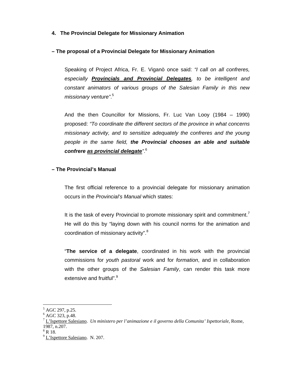#### **4. The Provincial Delegate for Missionary Animation**

#### **– The proposal of a Provincial Delegate for Missionary Animation**

Speaking of Project Africa, Fr. E. Viganò once said: *"I call on all confreres, especially Provincials and Provincial Delegates, to be intelligent and constant animators of various groups of the Salesian Family in this new missionary venture"*. 5

And the then Councillor for Missions, Fr. Luc Van Looy (1984 – 1990) proposed: *"To coordinate the different sectors of the province in what concerns missionary activity, and to sensitize adequately the confreres and the young people in the same field, the Provincial chooses an able and suitable confrere as provincial delegate"*. 6

#### **– The Provincial's Manual**

The first official reference to a provincial delegate for missionary animation occurs in the *Provincial's Manual* which states:

It is the task of every Provincial to promote missionary spirit and commitment.<sup>7</sup> He will do this by "laying down with his council norms for the animation and coordination of missionary activity".<sup>8</sup>

"**The service of a delegate**, coordinated in his work with the provincial commissions for *youth pastoral* work and for *formation*, and in collaboration with the other groups of the *Salesian Family*, can render this task more extensive and fruitful".<sup>9</sup>

<sup>&</sup>lt;sup>5</sup> AGC 297, p.25.

 $6$  AGC 323, p.48.

<sup>7</sup> L'Ispettore Salesiano. *Un ministero per l'animazione e il governo della Comunita' Ispettoriale*, Rome, 1987, n.207.

 $8$  R 18.

<sup>&</sup>lt;sup>9</sup> L'Ispettore Salesiano. N. 207.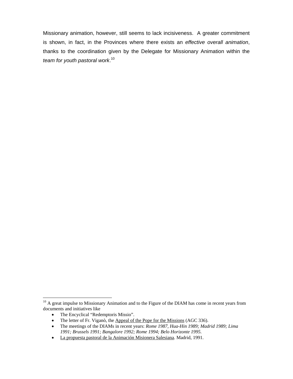Missionary animation, however, still seems to lack incisiveness. A greater commitment is shown, in fact, in the Provinces where there exists an *effective overall animation*, thanks to the coordination given by the Delegate for Missionary Animation within the *team for youth pastoral work*. 10

• The Encyclical "Redemptoris Missio".

 $\overline{a}$  $10$  A great impulse to Missionary Animation and to the Figure of the DIAM has come in recent years from documents and initiatives like

<sup>•</sup> The letter of Fr. Viganò, the Appeal of the Pope for the Missions (AGC 336).

The meetings of the DIAMs in recent years: *Rome 1987, Hua-Hin 1989; Madrid 1989; Lima 1991; Brussels 1991; Bangalore 1992; Rome 1994; Belo Horizonte 1995.*

La propuesta pastoral de la Animación Misionera Salesiana. Madrid, 1991.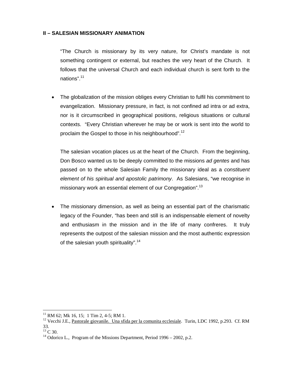#### **II – SALESIAN MISSIONARY ANIMATION**

"The Church is missionary by its very nature, for Christ's mandate is not something contingent or external, but reaches the very heart of the Church. It follows that the universal Church and each individual church is sent forth to the nations".11

 The globalization of the mission obliges every Christian to fulfil his commitment to evangelization. Missionary pressure, in fact, is not confined ad intra or ad extra, nor is it circumscribed in geographical positions, religious situations or cultural contexts. "Every Christian wherever he may be or work is sent into the world to proclaim the Gospel to those in his neighbourhood".<sup>12</sup>

The salesian vocation places us at the heart of the Church. From the beginning, Don Bosco wanted us to be deeply committed to the missions *ad gentes* and has passed on to the whole Salesian Family the missionary ideal as a *constituent element of his spiritual and apostolic patrimony*. As Salesians, "we recognise in missionary work an essential element of our Congregation".<sup>13</sup>

 The missionary dimension, as well as being an essential part of the charismatic legacy of the Founder, "has been and still is an indispensable element of novelty and enthusiasm in the mission and in the life of many confreres. It truly represents the outpost of the salesian mission and the most authentic expression of the salesian youth spirituality".<sup>14</sup>

 $11$  RM 62; Mk 16, 15; 1 Tim 2, 4-5; RM 1.

<sup>&</sup>lt;sup>12</sup> Vecchi J.E., Pastorale giovanile. Una sfida per la comunita ecclesiale. Turin, LDC 1992, p.293. Cf. RM 33.

 $^{13}$  C 30.

<sup>&</sup>lt;sup>14</sup> Odorico L., Program of the Missions Department, Period 1996 – 2002, p.2.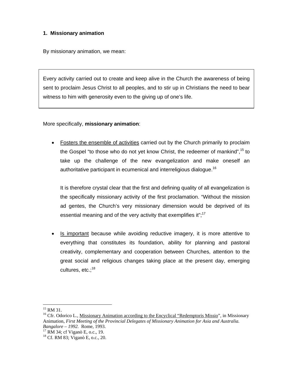#### **1. Missionary animation**

By missionary animation, we mean:

Every activity carried out to create and keep alive in the Church the awareness of being sent to proclaim Jesus Christ to all peoples, and to stir up in Christians the need to bear witness to him with generosity even to the giving up of one's life.

More specifically, **missionary animation**:

 Fosters the ensemble of activities carried out by the Church primarily to proclaim the Gospel "to those who do not yet know Christ, the redeemer of mankind",<sup>15</sup> to take up the challenge of the new evangelization and make oneself an authoritative participant in ecumenical and interreligious dialogue.<sup>16</sup>

It is therefore crystal clear that the first and defining quality of all evangelization is the specifically missionary activity of the first proclamation. "Without the mission ad gentes, the Church's very missionary dimension would be deprived of its essential meaning and of the very activity that exemplifies it";<sup>17</sup>

 Is important because while avoiding reductive imagery, it is more attentive to everything that constitutes its foundation, ability for planning and pastoral creativity, complementary and cooperation between Churches, attention to the great social and religious changes taking place at the present day, emerging cultures, etc.;<sup>18</sup>

 $\overline{a}$  $15$  RM 31.

<sup>&</sup>lt;sup>16</sup> Cfr. Odorico L., Missionary Animation according to the Encyclical "Redemptoris Missio", in Missionary Animation, *First Meeting of the Provincial Delegates of Missionary Animation for Asia and Australia. Bangalore – 1992.* Rome, 1993. 17 RM 34; cf Viganò E, o.c., 19.

<sup>18</sup> Cf. RM 83; Viganò E, o.c., 20.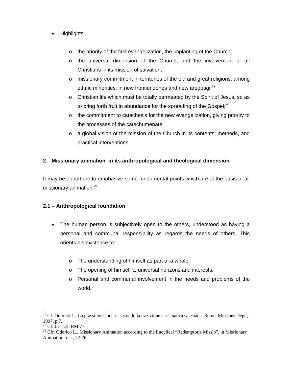#### • Highlights:

- o the priority of the first evangelization, the implanting of the Church;
- o the universal dimension of the Church, and the involvement of all Christians in its mission of salvation;
- o missionary commitment in territories of the old and great religions, among ethnic minorities, in new frontier zones and new areopagi;<sup>19</sup>
- o Christian life which must be totally permeated by the Spirit of Jesus, so as to bring forth fruit in abundance for the spreading of the Gospel: $20$
- $\circ$  the commitment to catechesis for the new evangelization, giving priority to the processes of the catechumenate;
- $\circ$  a global vision of the mission of the Church in its contents, methods, and practical interventions.

#### **2. Missionary animation in its anthropological and theological dimension**

It may be opportune to emphasize some fundamental points which are at the basis of all missionary animation.<sup>21</sup>

#### **2.1 – Anthropological foundation**

- The human person is subjectively open to the others, understood as having a personal and communal responsibility as regards the needs of others. This orients his existence to:
	- o The understanding of himself as part of a whole;
	- o The opening of himself to universal horizons and interests;
	- o Personal and communal involvement in the needs and problems of the world.

<sup>&</sup>lt;sup>19</sup> Cf. Odorico L., La prassi missionaria secondo la trazizione carismatica salesiana. Rome, Missions Dept., 1997, p.7.

<sup>20</sup> Cf. Jn 15,5: RM 77.

<sup>&</sup>lt;sup>21</sup> Cfr. Odorico L., Missionary Animation according to the Encylical "Redemptoris Missio", in Missionary Animation, o.c., 22-26.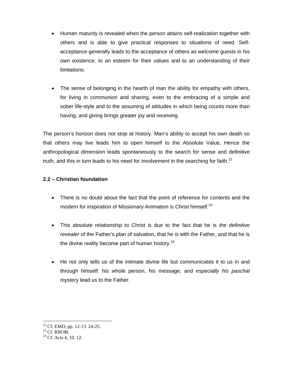- Human maturity is revealed when the person attains self-realization together with others and is able to give practical responses to situations of need. Selfacceptance generally leads to the acceptance of others as welcome guests in his own existence, to an esteem for their values and to an understanding of their limitations.
- The sense of belonging in the hearth of man the ability for empathy with others, for living in communion and sharing, even to the embracing of a simple and sober life-style and to the assuming of attitudes in which being counts more than having, and giving brings greater joy and receiving.

The person's horizon does not stop at history. Man's ability to accept his own death so that others may live leads him to open himself to the Absolute Value. Hence the anthropological dimension leads spontaneously to the search for sense and definitive truth, and this in turn leads to his need for involvement in the searching for faith. $^{22}$ 

#### **2.2 – Christian foundation**

- There is no doubt about the fact that the point of reference for contents and the modern for inspiration of Missionary Animation is Christ himself.<sup>23</sup>
- This absolute relationship to Christ is due to the fact that he is *the definitive revealer* of the Father's plan of salvation, that he is with the Father, and that he is the divine reality become part of human history. $24$
- He not only tells us of the intimate divine life but communicates it to us in and through himself: his whole person, his message, and *especially his paschal mystery* lead us to the Father.

 $22$  Cf. EMD, pp. 12-13. 24-25.

<sup>&</sup>lt;sup>23</sup> Cf. RM 88.

 $24$  Cf. Acts 4, 10, 12.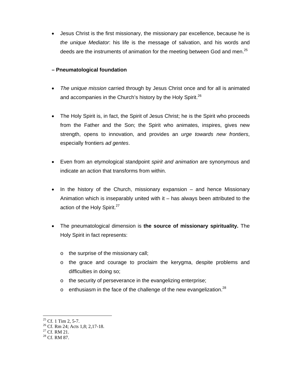Jesus Christ is the first missionary, the missionary par excellence, because he is *the unique Mediator*: his life is the message of salvation, and his words and deeds are the instruments of animation for the meeting between God and men.<sup>25</sup>

#### **– Pneumatological foundation**

- *The unique mission* carried through by Jesus Christ once and for all is animated and accompanies in the Church's history by the Holy Spirit. $26$
- The Holy Spirit is, in fact, the Spirit of Jesus Christ; he is the Spirit who proceeds from the Father and the Son; the Spirit who animates, inspires, gives new strength, opens to innovation, and provides an *urge towards new frontiers*, especially frontiers *ad gentes*.
- Even from an etymological standpoint *spirit and animation* are synonymous and indicate an action that transforms from within.
- In the history of the Church, missionary expansion and hence Missionary Animation which is inseparably united with it – has always been attributed to the action of the Holy Spirit.<sup>27</sup>
- The pneumatological dimension is **the source of missionary spirituality.** The Holy Spirit in fact represents:
	- o the surprise of the missionary call;
	- o the grace and courage to proclaim the kerygma, despite problems and difficulties in doing so;
	- o the security of perseverance in the evangelizing enterprise;
	- o enthusiasm in the face of the challenge of the new evangelization.<sup>28</sup>

 $25$  Cf. 1 Tim 2, 5-7.

<sup>&</sup>lt;sup>26</sup> Cf. Rm 24; Acts 1,8; 2,17-18.

<sup>27</sup> Cf. RM 21.

<sup>28</sup> Cf. RM 87.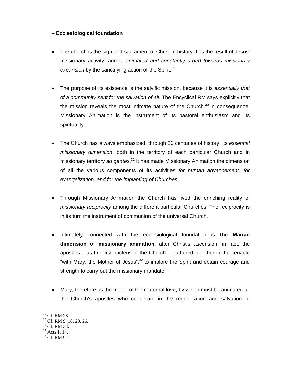#### **– Ecclesiological foundation**

- The church is the sign and sacrament of Christ in history. It is the result of Jesus' missionary activity, and is *animated and constantly urged towards missionary*  expansion by the sanctifying action of the Spirit.<sup>29</sup>
- The purpose of its existence is the salvific mission, because it is *essentially that of a community sent for the salvation of all*. The Encyclical RM says explicitly that the mission reveals the most intimate nature of the Church.<sup>30</sup> In consequence, Missionary Animation is the instrument of its pastoral enthusiasm and its spirituality.
- The Church has always emphasized, through 20 centuries of history, its *essential missionary dimension*, both in the territory of each particular Church and in missionary territory *ad gentes*. 31 It has made Missionary Animation the dimension of all the various components of its activities *for human advancement, for evangelization, and for the implanting of Churches*.
- Through Missionary Animation the Church has lived the enriching reality of *missionary reciprocity* among the different particular Churches. The reciprocity is in its turn the instrument of communion of the universal Church.
- Intimately connected with the ecclesiological foundation is **the Marian dimension of missionary animation**: after Christ's ascension, in fact, the apostles – as the first nucleus of the Church – gathered together in the cenacle "with Mary, the Mother of Jesus", $32$  to implore the Spirit and obtain courage and strength to carry out the missionary mandate. $^{33}$
- Mary, therefore, is the model of the maternal love, by which must be animated all the Church's apostles who cooperate in the regeneration and salvation of
- 29 Cf. RM 28.

<sup>30</sup> Cf. RM 9. 18. 20. 26.

<sup>&</sup>lt;sup>31</sup> Cf. RM 33.

<sup>32</sup> Acts 1, 14.

<sup>33</sup> Cf. RM 92.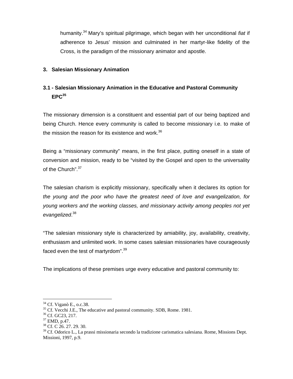humanity.34 Mary's spiritual pilgrimage, which began with her unconditional *fiat* if adherence to Jesus' mission and culminated in her martyr-like fidelity of the Cross, is the paradigm of the missionary animator and apostle.

#### **3. Salesian Missionary Animation**

# **3.1 - Salesian Missionary Animation in the Educative and Pastoral Community EPC<sup>35</sup>**

The missionary dimension is a constituent and essential part of our being baptized and being Church. Hence every community is called to become missionary i.e. to make of the mission the reason for its existence and work. $36$ 

Being a "missionary community" means, in the first place, putting oneself in a state of conversion and mission, ready to be "visited by the Gospel and open to the universality of the Church".<sup>37</sup>

The salesian charism is explicitly missionary, specifically when it declares its option for *the young and the poor who have the greatest need of love and evangelization, for young workers and the working classes, and missionary activity among peoples not yet evangelized*. 38

"The salesian missionary style is characterized by amiability, joy, availability, creativity, enthusiasm and unlimited work. In some cases salesian missionaries have courageously faced even the test of martyrdom".<sup>39</sup>

The implications of these premises urge every educative and pastoral community to:

<sup>34</sup> Cf. Viganò E., o.c.38.

<sup>&</sup>lt;sup>35</sup> Cf. Vecchi J.E., The educative and pastoral community. SDB, Rome. 1981. <sup>36</sup> Cf. GC23, 217.

<sup>37</sup> EMD, p.47.

<sup>38</sup> Cf. C 26. 27. 29. 30.

<sup>&</sup>lt;sup>39</sup> Cf. Odorico L., La prassi missionaria secondo la tradizione carismatica salesiana. Rome, Missions Dept. Missioni, 1997, p.9.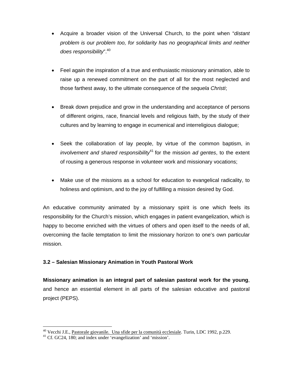- Acquire a broader vision of the Universal Church, to the point when "*distant problem is our problem too, for solidarity has no geographical limits and neither does responsibility*".40
- Feel again the inspiration of a true and enthusiastic missionary animation, able to raise up a renewed commitment on the part of all for the most neglected and those farthest away, to the ultimate consequence of the *sequela Christi*;
- Break down prejudice and grow in the understanding and acceptance of persons of different origins, race, financial levels and religious faith, by the study of their cultures and by learning to engage in ecumenical and interreligious dialogue;
- Seek the collaboration of lay people, by virtue of the common baptism, in *involvement and shared responsibility*<sup>41</sup> for the mission *ad gentes*, to the extent of rousing a generous response in volunteer work and missionary vocations;
- Make use of the missions as a school for education to evangelical radicality, to holiness and optimism, and to the joy of fulfilling a mission desired by God.

An educative community animated by a missionary spirit is one which feels its responsibility for the Church's mission, which engages in patient evangelization, which is happy to become enriched with the virtues of others and open itself to the needs of all, overcoming the facile temptation to limit the missionary horizon to one's own particular mission.

#### **3.2 – Salesian Missionary Animation in Youth Pastoral Work**

**Missionary animation is an integral part of salesian pastoral work for the young**, and hence an essential element in all parts of the salesian educative and pastoral project (PEPS).

<sup>&</sup>lt;sup>40</sup> Vecchi J.E., <u>Pastorale giovanile. Una sfide per la comunità ecclesiale</u>. Turin, LDC 1992, p.229. <sup>41</sup> Cf. GC24, 180; and index under 'evangelization' and 'mission'.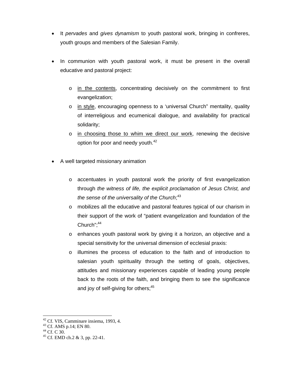- It *pervades* and *gives dynamism* to youth pastoral work, bringing in confreres, youth groups and members of the Salesian Family.
- In communion with youth pastoral work, it must be present in the overall educative and pastoral project:
	- $\circ$  in the contents, concentrating decisively on the commitment to first evangelization;
	- o in style, encouraging openness to a 'universal Church" mentality, quality of interreligious and ecumenical dialogue, and availability for practical solidarity;
	- $\circ$  in choosing those to whim we direct our work, renewing the decisive option for poor and needy youth.<sup>42</sup>
- A well targeted missionary animation
	- o accentuates in youth pastoral work the priority of first evangelization through *the witness of life, the explicit proclamation of Jesus Christ, and the sense of the universality of the Church*; 43
	- o mobilizes all the educative and pastoral features typical of our charism in their support of the work of "patient evangelization and foundation of the Church": $44$
	- o enhances youth pastoral work by giving it a horizon, an objective and a special sensitivity for the universal dimension of ecclesial praxis:
	- o illumines the process of education to the faith and of introduction to salesian youth spirituality through the setting of goals, objectives, attitudes and missionary experiences capable of leading young people back to the roots of the faith, and bringing them to see the significance and joy of self-giving for others; $45$

 $42$  Cf. VIS, Camminare insiema, 1993, 4.

 $43$  Cf. AMS p.14; EN 80.

<sup>44</sup> Cf. C 30.

<sup>45</sup> Cf. EMD ch.2 & 3, pp. 22-41.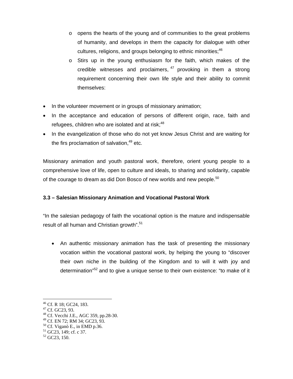- $\circ$  opens the hearts of the young and of communities to the great problems of humanity, and develops in them the capacity for dialogue with other cultures, religions, and groups belonging to ethnic minorities;<sup>46</sup>
- o Stirs up in the young enthusiasm for the faith, which makes of the credible witnesses and proclaimers,  $47$  provoking in them a strong requirement concerning their own life style and their ability to commit themselves:
- In the volunteer movement or in groups of missionary animation;
- In the acceptance and education of persons of different origin, race, faith and refugees, children who are isolated and at risk; $48$
- In the evangelization of those who do not yet know Jesus Christ and are waiting for the firs proclamation of salvation. $49$  etc.

Missionary animation and youth pastoral work, therefore, orient young people to a comprehensive love of life, open to culture and ideals, to sharing and solidarity, capable of the courage to dream as did Don Bosco of new worlds and new people. $50$ 

#### **3.3 – Salesian Missionary Animation and Vocational Pastoral Work**

"In the salesian pedagogy of faith the vocational option is the mature and indispensable result of all human and Christian growth".<sup>51</sup>

 An authentic missionary animation has the task of presenting the missionary vocation within the vocational pastoral work, by helping the young to "discover their own niche in the building of the Kingdom and to will it with joy and determination<sup>"52</sup> and to give a unique sense to their own existence: "to make of it

 $\overline{a}$ 

48 Cf. Vecchi J.E., AGC 359, pp.28-30.

<sup>46</sup> Cf. R 18; GC24, 183.

<sup>47</sup> Cf. GC23, 93.

<sup>49</sup> Cf. EN 72; RM 34; GC23, 93.

 $50$  Cf. Viganò E., in EMD p.36.

 $51$  GC23, 149; cf. c 37.

<sup>52</sup> GC23, 150.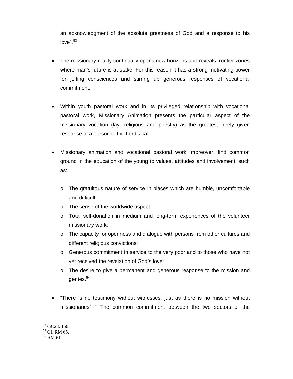an acknowledgment of the absolute greatness of God and a response to his  $love$ ".  $53$ 

- The missionary reality continually opens new horizons and reveals frontier zones where man's future is at stake. For this reason it has a strong motivating power for jolting consciences and stirring up generous responses of vocational commitment.
- Within youth pastoral work and in its privileged relationship with vocational pastoral work, Missionary Animation presents the particular aspect of the missionary vocation (lay, religious and priestly) as the greatest freely given response of a person to the Lord's call.
- Missionary animation and vocational pastoral work, moreover, find common ground in the education of the young to values, attitudes and involvement, such as:
	- o The gratuitous nature of service in places which are humble, uncomfortable and difficult;
	- o The sense of the worldwide aspect;
	- o Total self-donation in medium and long-term experiences of the volunteer missionary work;
	- o The capacity for openness and dialogue with persons from other cultures and different religious convictions;
	- o Generous commitment in service to the very poor and to those who have not yet received the revelation of God's love;
	- o The desire to give a permanent and generous response to the mission and gentes.<sup>54</sup>
- "There is no testimony without witnesses, just as there is no mission without missionaries".<sup>55</sup> The common commitment between the two sectors of the

<sup>&</sup>lt;sup>53</sup> GC23, 156.

<sup>54</sup> Cf. RM 65.

<sup>55</sup> RM 61.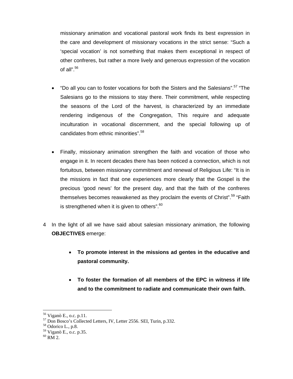missionary animation and vocational pastoral work finds its best expression in the care and development of missionary vocations in the strict sense: "Such a 'special vocation' is not something that makes them exceptional in respect of other confreres, but rather a more lively and generous expression of the vocation of all". $56$ 

- $\bullet$  "Do all you can to foster vocations for both the Sisters and the Salesians".<sup>57</sup> "The Salesians go to the missions to stay there. Their commitment, while respecting the seasons of the Lord of the harvest, is characterized by an immediate rendering indigenous of the Congregation, This require and adequate inculturation in vocational discernment, and the special following up of candidates from ethnic minorities".<sup>58</sup>
- Finally, missionary animation strengthen the faith and vocation of those who engage in it. In recent decades there has been noticed a connection, which is not fortuitous, between missionary commitment and renewal of Religious Life: "It is in the missions in fact that one experiences more clearly that the Gospel is the precious 'good news' for the present day, and that the faith of the confreres themselves becomes reawakened as they proclaim the events of Christ".<sup>59</sup> "Faith is strengthened when it is given to others". $60$
- 4 In the light of all we have said about salesian missionary animation, the following **OBJECTIVES** emerge:
	- **To promote interest in the missions ad gentes in the educative and pastoral community.**
	- **To foster the formation of all members of the EPC in witness if life and to the commitment to radiate and communicate their own faith.**

<sup>56</sup> Viganò E., o.c. p.11.

<sup>57</sup> Don Bosco's Collected Letters, IV, Letter 2556. SEI, Turin, p.332.

<sup>58</sup> Odorico L., p.8.

<sup>59</sup> Viganò E., o.c. p.35.

 $60$  RM 2.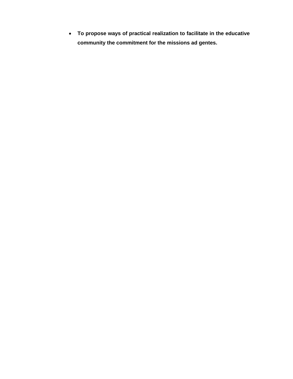**To propose ways of practical realization to facilitate in the educative community the commitment for the missions ad gentes.**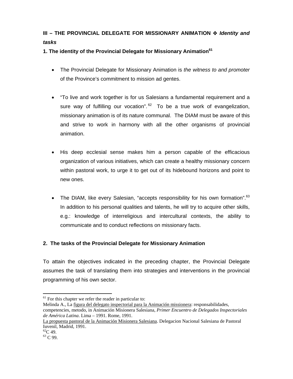# **III – THE PROVINCIAL DELEGATE FOR MISSIONARY ANIMATION**  $\div$  **Identity and** *tasks*

**1. The identity of the Provincial Delegate for Missionary Animation<sup>61</sup>**

- The Provincial Delegate for Missionary Animation is *the witness to and promoter* of the Province's commitment to mission ad gentes.
- "To live and work together is for us Salesians a fundamental requirement and a sure way of fulfilling our vocation".<sup>62</sup> To be a true work of evangelization, missionary animation is of its nature communal. The DIAM must be aware of this and strive to work in harmony with all the other organisms of provincial animation.
- His deep ecclesial sense makes him a person capable of the efficacious organization of various initiatives, which can create a healthy missionary concern within pastoral work, to urge it to get out of its hidebound horizons and point to new ones.
- The DIAM, like every Salesian, "accepts responsibility for his own formation". $63$ In addition to his personal qualities and talents, he will try to acquire other skills, e.g.: knowledge of interreligious and intercultural contexts, the ability to communicate and to conduct reflections on missionary facts.

#### **2. The tasks of the Provincial Delegate for Missionary Animation**

To attain the objectives indicated in the preceding chapter, the Provincial Delegate assumes the task of translating them into strategies and interventions in the provincial programming of his own sector.

Melinda A., La figura del delegato inspectorial para la Animación missionera: responsabilidades, competencies, metodo, in Animación Misionera Salesiana, *Primer Encuentro de Delegados Inspectoriales de América Latina*. Lima – 1991. Rome, 1991.

<sup>&</sup>lt;sup>61</sup> For this chapter we refer the reader in particular to:

La propuesta pastoral de la Animación Misionera Salesiana. Delegacion Nacional Salesiana de Pastoral Iuvenil, Madrid, 1991.

 ${}^{62}C$  49.

<sup>63</sup> C 99.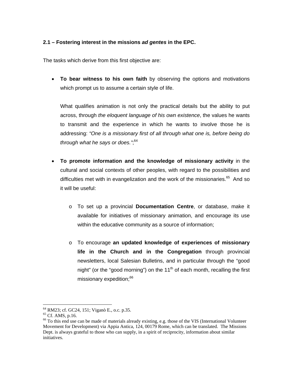#### **2.1 – Fostering interest in the missions** *ad gentes* **in the EPC.**

The tasks which derive from this first objective are:

 **To bear witness to his own faith** by observing the options and motivations which prompt us to assume a certain style of life.

What qualifies animation is not only the practical details but the ability to put across, through *the eloquent language of his own existence*, the values he wants to transmit and the experience in which he wants to involve those he is addressing: *"One is a missionary first of all through what one is, before being do through what he says or does."*; 64

- **To promote information and the knowledge of missionary activity** in the cultural and social contexts of other peoples, with regard to the possibilities and difficulties met with in evangelization and the work of the missionaries. $65$  And so it will be useful:
	- o To set up a provincial **Documentation Centre**, or database, make it available for initiatives of missionary animation, and encourage its use within the educative community as a source of information;
	- o To encourage **an updated knowledge of experiences of missionary life in the Church and in the Congregation** through provincial newsletters, local Salesian Bulletins, and in particular through the "good night" (or the "good morning") on the  $11<sup>th</sup>$  of each month, recalling the first missionary expedition;<sup>66</sup>

<sup>64</sup> RM23; cf. GC24, 151; Viganò E., o.c. p.35.

<sup>65</sup> Cf. AMS, p.16.

<sup>&</sup>lt;sup>66</sup> To this end use can be made of materials already existing, e.g. those of the VIS (International Volunteer Movement for Development) via Appia Antica, 124, 00179 Rome, which can be translated. The Missions Dept. is always grateful to those who can supply, in a spirit of reciprocity, information about similar initiatives.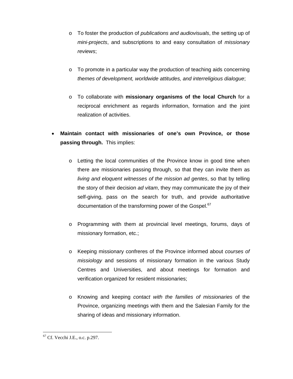- o To foster the production of *publications and audiovisuals*, the setting up of *mini-projects*, and subscriptions to and easy consultation of *missionary reviews*;
- $\circ$  To promote in a particular way the production of teaching aids concerning *themes of development, worldwide attitudes, and interreligious dialogue*;
- o To collaborate with **missionary organisms of the local Church** for a reciprocal enrichment as regards information, formation and the joint realization of activities.
- **Maintain contact with missionaries of one's own Province, or those passing through.** This implies:
	- o Letting the local communities of the Province know in good time when there are missionaries passing through, so that they can invite them as *living and eloquent witnesses of the mission ad gentes*, so that by telling the story of their decision *ad vitam*, they may communicate the joy of their self-giving, pass on the search for truth, and provide authoritative documentation of the transforming power of the Gospel.<sup>67</sup>
	- o Programming with them at provincial level meetings, forums, days of missionary formation, etc.;
	- o Keeping missionary confreres of the Province informed about *courses of missiology* and sessions of missionary formation in the various Study Centres and Universities, and about meetings for formation and verification organized for resident missionaries;
	- o Knowing and keeping *contact with the families of missionaries* of the Province, organizing meetings with them and the Salesian Family for the sharing of ideas and missionary information.

 $\overline{a}$  $67$  Cf. Vecchi J.E., o.c. p.297.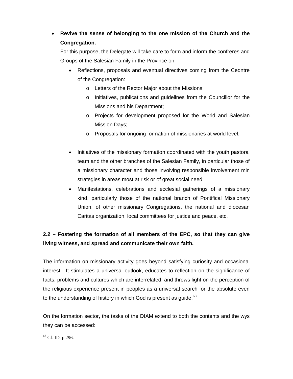# **Revive the sense of belonging to the one mission of the Church and the Congregation.**

For this purpose, the Delegate will take care to form and inform the confreres and Groups of the Salesian Family in the Province on:

- Reflections, proposals and eventual directives coming from the Cedntre of the Congregation:
	- o Letters of the Rector Major about the Missions;
	- o Initiatives, publications and guidelines from the Councillor for the Missions and his Department;
	- o Projects for development proposed for the World and Salesian Mission Days;
	- o Proposals for ongoing formation of missionaries at world level.
- Initiatives of the missionary formation coordinated with the youth pastoral team and the other branches of the Salesian Family, in particular those of a missionary character and those involving responsible involvement min strategies in areas most at risk or of great social need;
- Manifestations, celebrations and ecclesial gatherings of a missionary kind, particularly those of the national branch of Pontifical Missionary Union, of other missionary Congregations, the national and diocesan Caritas organization, local committees for justice and peace, etc.

# **2.2 – Fostering the formation of all members of the EPC, so that they can give living witness, and spread and communicate their own faith.**

The information on missionary activity goes beyond satisfying curiosity and occasional interest. It stimulates a universal outlook, educates to reflection on the significance of facts, problems and cultures which are interrelated, and throws light on the perception of the religious experience present in peoples as a universal search for the absolute even to the understanding of history in which God is present as quide.<sup>68</sup>

On the formation sector, the tasks of the DIAM extend to both the contents and the wys they can be accessed:

 $68$  Cf. ID, p.296.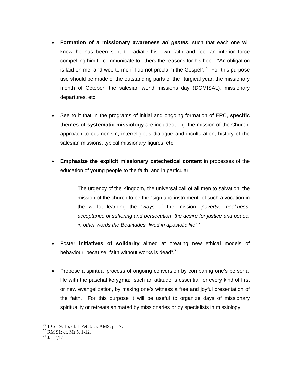- **Formation of a missionary awareness** *ad gentes*, such that each one will know he has been sent to radiate his own faith and feel an interior force compelling him to communicate to others the reasons for his hope: "An obligation is laid on me, and woe to me if I do not proclaim the Gospel".<sup>69</sup> For this purpose use should be made of the outstanding parts of the liturgical year, the missionary month of October, the salesian world missions day (DOMISAL), missionary departures, etc;
- See to it that in the programs of initial and ongoing formation of EPC, **specific themes of systematic missiology** are included, e.g. the mission of the Church, approach to ecumenism, interreligious dialogue and inculturation, history of the salesian missions, typical missionary figures, etc.
- **Emphasize the explicit missionary catechetical content** in processes of the education of young people to the faith, and in particular:

The urgency of the Kingdom, the universal call of all men to salvation, the mission of the church to be the "sign and instrument" of such a vocation in the world, learning the "ways of the mission: *poverty, meekness, acceptance of suffering and persecution, the desire for justice and peace, in other words the Beatitudes, lived in apostolic life*".<sup>70</sup>

- Foster **initiatives of solidarity** aimed at creating new ethical models of behaviour, because "faith without works is dead".<sup>71</sup>
- Propose a spiritual process of ongoing conversion by comparing one's personal life with the paschal kerygma: such an attitude is essential for every kind of first or new evangelization, by making one's witness a free and joyful presentation of the faith. For this purpose it will be useful to organize days of missionary spirituality or retreats animated by missionaries or by specialists in missiology.

<sup>69 1</sup> Cor 9, 16; cf. 1 Pet 3,15; AMS, p. 17.

 $70$  RM 91; cf. Mt 5, 1-12.

 $71$  Jas 2,17.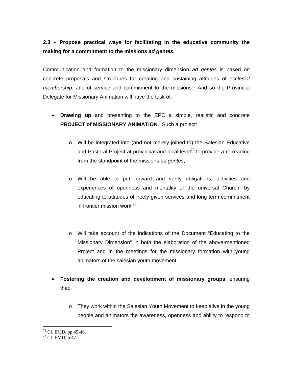# **2.3 – Propose practical ways for facilitating in the educative community the making for a commitment to the missions** *ad gentes***.**

Communication and formation to the missionary dimension *ad gentes* is based on concrete proposals and structures for creating and sustaining attitudes of *ecclesial membership*, and of service and commitment to the missions. And so the Provincial Delegate for Missionary Animation will have the task of:

- **Drawing up** and presenting to the EPC a simple, realistic and concrete **PROJECT of MISSIONARY ANIMATION**. Such a project:
	- o Will be integrated into (and not merely joined to) the Salesian Educative and Pastoral Project at provincial and local level<sup>72</sup> to provide a re-reading from the standpoint of the missions *ad gentes*;
	- o Will be able to put forward and verify obligations, activities and experiences of openness and mentality of the universal Church, by educating to attitudes of freely given services and long term commitment in frontier mission work; $^{73}$
	- o Will take account of the indications of the Document "Educating to the Missionary Dimension" in both the elaboration of the above-mentioned Project and in the meetings for the missionary formation with young animators of the salesian youth movement.
- **Fostering the creation and development of missionary groups**, ensuring that:
	- o They work within the Salesian Youth Movement to keep alive in the young people and animators the awareness, openness and ability to respond to

 $\overline{a}$  $72$  Cf. EMD, pp 45-46.

<sup>73</sup> Cf. EMD, p.47.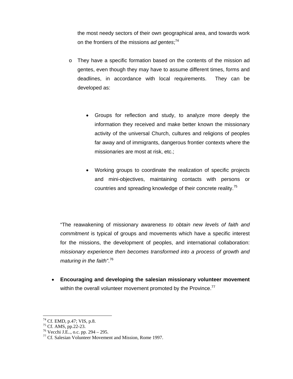the most needy sectors of their own geographical area, and towards work on the frontiers of the missions *ad gentes*; 74

- o They have a specific formation based on the contents of the mission ad gentes, even though they may have to assume different times, forms and deadlines, in accordance with local requirements. They can be developed as:
	- Groups for reflection and study, to analyze more deeply the information they received and make better known the missionary activity of the universal Church, cultures and religions of peoples far away and of immigrants, dangerous frontier contexts where the missionaries are most at risk, etc.;
	- Working groups to coordinate the realization of specific projects and mini-objectives, maintaining contacts with persons or countries and spreading knowledge of their concrete reality.<sup>75</sup>

"The reawakening of missionary awareness *to obtain new levels of faith and commitment* is typical of groups and movements which have a specific interest for the missions, the development of peoples, and international collaboration: *missionary experience then becomes transformed into a process of growth and maturing in the faith"*. 76

 **Encouraging and developing the salesian missionary volunteer movement** within the overall volunteer movement promoted by the Province.<sup>77</sup>

 $74$  Cf. EMD, p.47; VIS, p.8.

<sup>75</sup> Cf. AMS, pp.22-23.

<sup>76</sup> Vecchi J.E.., o.c. pp. 294 – 295.

 $77$  Cf. Salesian Volunteer Movement and Mission, Rome 1997.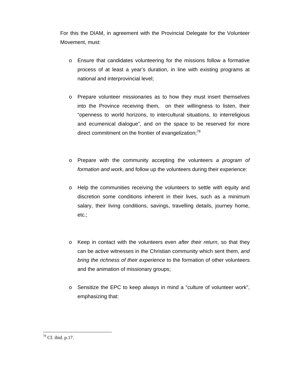For this the DIAM, in agreement with the Provincial Delegate for the Volunteer Movement, must:

- o Ensure that candidates volunteering for the missions follow a formative process of at least a year's duration, in line with existing programs at national and interprovincial level;
- o Prepare volunteer missionaries as to how they must insert themselves into the Province receiving them, on their willingness to listen, their "openness to world horizons, to intercultural situations, to interreligious and ecumenical dialogue", and on the space to be reserved for more direct commitment on the frontier of evangelization; $^{78}$
- o Prepare with the community accepting the volunteers *a program of formation and work*, and follow up the volunteers during their experience:
- o Help the communities receiving the volunteers to settle with equity and discretion some conditions inherent in their lives, such as a minimum salary, their living conditions, savings, travelling details, journey home, etc.;
- o Keep in contact with the volunteers even *after their return*, so that they can be active witnesses in the Christian community which sent them, *and bring the richness of their experience* to the formation of other volunteers and the animation of missionary groups;
- $\circ$  Sensitize the EPC to keep always in mind a "culture of volunteer work", emphasizing that:

 $78$  Cf. ibid. p.17.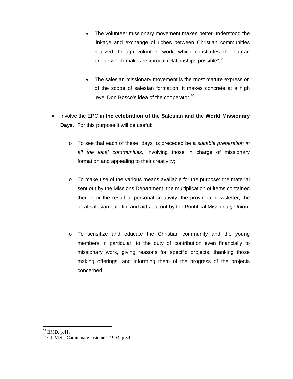- The volunteer missionary movement makes better understood the linkage and exchange of riches between Christian communities realized through volunteer work, which constitutes the human bridge which makes reciprocal relationships possible";<sup>79</sup>
- The salesian missionary movement is the most mature expression of the scope of salesian formation; it makes concrete at a high level Don Bosco's idea of the cooperator.<sup>80</sup>
- Involve the EPC in the celebration of the Salesian and the World Missionary **Days**. For this purpose it will be useful:
	- o To see that each of these "days" is preceded be a *suitable preparation in all the local communities,* involving those in charge of missionary formation and appealing to their creativity;
	- o To make use of the various means available for the purpose: the material sent out by the Missions Department, the multiplication of items contained therein or the result of personal creativity, the provincial newsletter, the local salesian bulletin, and aids put out by the Pontifical Missionary Union;
	- o To sensitize and educate the Christian community and the young members in particular, to the duty of contribution even financially to missionary work, giving reasons for specific projects, thanking those making offerings, and informing them of the progress of the projects concerned.

 $^{79}$  EMD, p.41.

<sup>80</sup> Cf. VIS, "Camminare insieme". 1993, p.39.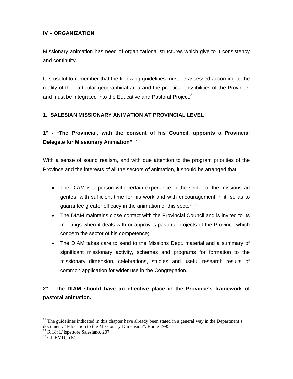#### **IV – ORGANIZATION**

Missionary animation has need of organizational structures which give to it consistency and continuity.

It is useful to remember that the following guidelines must be assessed according to the reality of the particular geographical area and the practical possibilities of the Province, and must be integrated into the Educative and Pastoral Project.<sup>81</sup>

#### **1. SALESIAN MISSIONARY ANIMATION AT PROVINCIAL LEVEL**

**1° - "The Provincial, with the consent of his Council, appoints a Provincial Delegate for Missionary Animation"**. 82

With a sense of sound realism, and with due attention to the program priorities of the Province and the interests of all the sectors of animation, it should be arranged that:

- The DIAM is a person with certain experience in the sector of the missions ad gentes, with sufficient time for his work and with encouragement in it, so as to quarantee greater efficacy in the animation of this sector:<sup>83</sup>
- The DIAM maintains close contact with the Provincial Council and is invited to its meetings when it deals with or approves pastoral projects of the Province which concern the sector of his competence;
- The DIAM takes care to send to the Missions Dept. material and a summary of significant missionary activity, schemes and programs for formation to the missionary dimension, celebrations, studies and useful research results of common application for wider use in the Congregation.

# **2° - The DIAM should have an effective place in the Province's framework of pastoral animation.**

<sup>&</sup>lt;sup>81</sup> The guidelines indicated in this chapter have already been stated in a general way in the Department's document: "Education to the Missionary Dimension". Rome 1995.

<sup>82</sup> R 18; L'Ispettore Salesiano, 207.

<sup>83</sup> Cf. EMD, p.51.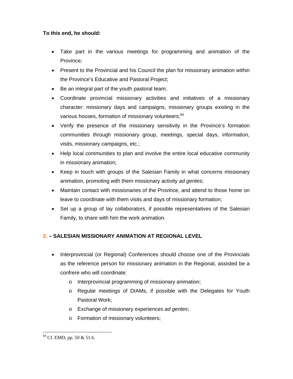#### **To this end, he should:**

- Take part in the various meetings for programming and animation of the Province;
- Present to the Provincial and his Council the plan for missionary animation within the Province's Educative and Pastoral Project;
- Be an integral part of the youth pastoral team;
- Coordinate provincial missionary activities and initiatives of a missionary character: missionary days and campaigns, missionary groups existing in the various houses, formation of missionary volunteers;<sup>84</sup>
- Verify the presence of the missionary sensitivity in the Province's formation communities through missionary group, meetings, special days, information, visits, missionary campaigns, etc.;
- Help local communities to plan and involve the entire local educative community in missionary animation;
- Keep in touch with groups of the Salesian Family in what concerns missionary animation, promoting with them missionary activity *ad gentes*;
- Maintain contact with missionaries of the Province, and attend to those home on leave to coordinate with them visits and days of missionary formation;
- Set up a group of lay collaborators, if possible representatives of the Salesian Family, to share with him the work animation.

#### **2. – SALESIAN MISSIONARY ANIMATION AT REGIONAL LEVEL**

- Interprovincial (or Regional) Conferences should choose one of the Provincials as the reference person for missionary animation in the Regional, assisted be a confrere who will coordinate:
	- o Interprovincial programming of missionary animation;
	- o Regular meetings of DIAMs, if possible with the Delegates for Youth Pastoral Work;
	- o Exchange of missionary experiences *ad gentes*;
	- o Formation of missionary volunteers;

 $\overline{a}$  $84$  Cf. EMD, pp. 50 & 51.6.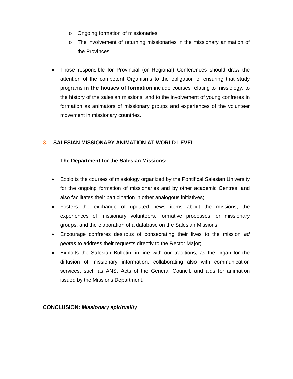- o Ongoing formation of missionaries;
- $\circ$  The involvement of returning missionaries in the missionary animation of the Provinces.
- Those responsible for Provincial (or Regional) Conferences should draw the attention of the competent Organisms to the obligation of ensuring that study programs **in the houses of formation** include courses relating to missiology, to the history of the salesian missions, and to the involvement of young confreres in formation as animators of missionary groups and experiences of the volunteer movement in missionary countries.

#### **3. – SALESIAN MISSIONARY ANIMATION AT WORLD LEVEL**

#### **The Department for the Salesian Missions:**

- Exploits the courses of missiology organized by the Pontifical Salesian University for the ongoing formation of missionaries and by other academic Centres, and also facilitates their participation in other analogous initiatives;
- Fosters the exchange of updated news items about the missions, the experiences of missionary volunteers, formative processes for missionary groups, and the elaboration of a database on the Salesian Missions;
- Encourage confreres desirous of consecrating their lives to the mission *ad gentes* to address their requests directly to the Rector Major;
- Exploits the Salesian Bulletin, in line with our traditions, as the organ for the diffusion of missionary information, collaborating also with communication services, such as ANS, Acts of the General Council, and aids for animation issued by the Missions Department.

**CONCLUSION:** *Missionary spirituality*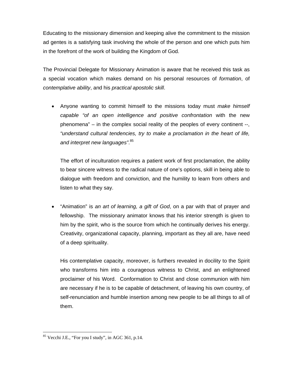Educating to the missionary dimension and keeping alive the commitment to the mission ad gentes is a satisfying task involving the whole of the person and one which puts him in the forefront of the work of building the Kingdom of God.

The Provincial Delegate for Missionary Animation is aware that he received this task as a special vocation which makes demand on his personal resources of *formation*, of *contemplative ability*, and his *practical apostolic skill*.

 Anyone wanting to commit himself to the missions today must *make himself capable "of an open intelligence and positive confrontation* with the new phenomena" – in the complex social reality of the peoples of every continent --, *"understand cultural tendencies, try to make a proclamation in the heart of life, and interpret new languages"*. 85

The effort of inculturation requires a patient work of first proclamation, the ability to bear sincere witness to the radical nature of one's options, skill in being able to dialogue with freedom and conviction, and the humility to learn from others and listen to what they say.

 "Animation" is *an art of learning, a gift of God*, on a par with that of prayer and fellowship. The missionary animator knows that his interior strength is given to him by the spirit, who is the source from which he continually derives his energy. Creativity, organizational capacity, planning, important as they all are, have need of a deep spirituality.

His contemplative capacity, moreover, is furthers revealed in docility to the Spirit who transforms him into a courageous witness to Christ, and an enlightened proclaimer of his Word. Conformation to Christ and close communion with him are necessary if he is to be capable of detachment, of leaving his own country, of self-renunciation and humble insertion among new people to be all things to all of them.

 $85$  Vecchi J.E., "For you I study", in AGC 361, p.14.